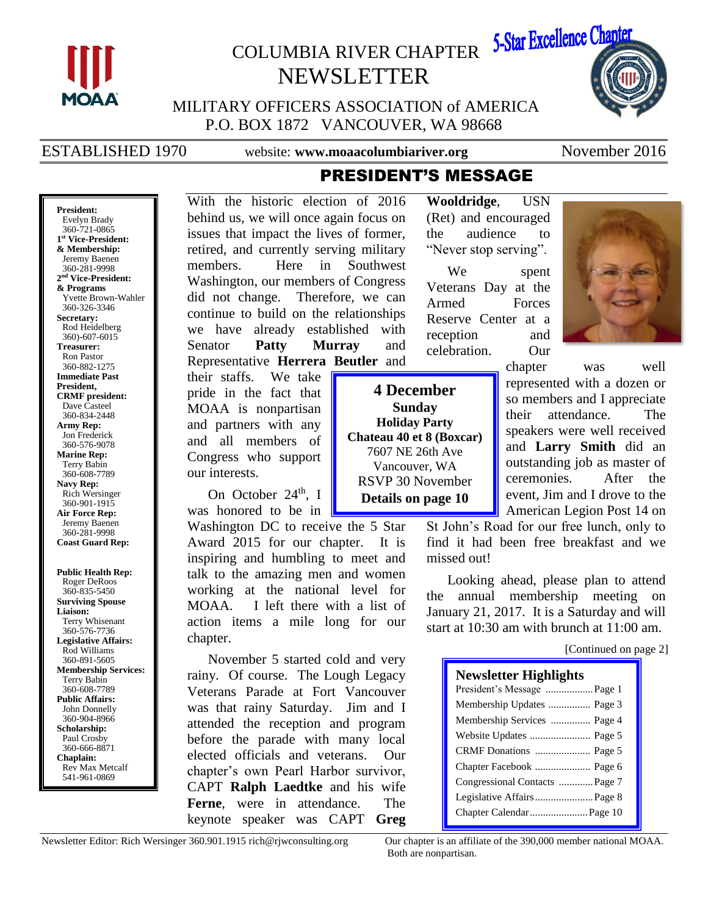

**President:**

**Secretary:**

**President,** 

# COLUMBIA RIVER CHAPTER 5-Star Excellence Chapter NEWSLETTER



MILITARY OFFICERS ASSOCIATION of AMERICA P.O. BOX 1872 VANCOUVER, WA 98668

ESTABLISHED 1970 website: **www.moaacolumbiariver.org** November 2016

## Evelyn Brady 360-721-0865 **1 st Vice-President: & Membership:** Jeremy Baenen 360-281-9998 **2 nd Vice-President: & Programs** Yvette Brown-Wahler 360-326-3346 Rod Heidelberg 360)-607-6015 **Treasurer:** Ron Pastor 360-882-1275 **Immediate Past CRMF president:**

Dave Casteel 360-834-2448 **Army Rep:** Jon Frederick 360-576-9078 **Marine Rep:** Terry Babin 360-608-7789 **Navy Rep:** Rich Wersinger 360-901-1915 **Air Force Rep:** Jeremy Baenen 360-281-9998

**Coast Guard Rep:**

**Public Health Rep:** Roger DeRoos 360-835-5450 **Surviving Spouse Liaison:** Terry Whisenant 360-576-7736 **Legislative Affairs:** Rod Williams 360-891-5605 **Membership Services:** Terry Babin 360-608-7789 **Public Affairs:** John Donnelly 360-904-8966 **Scholarship:** Paul Crosby 360-666-8871 **Chaplain:** Rev Max Metcalf 541-961-0869

With the historic election of 2016 behind us, we will once again focus on issues that impact the lives of former, retired, and currently serving military members. Here in Southwest Washington, our members of Congress did not change. Therefore, we can continue to build on the relationships we have already established with Senator **Patty Murray** and Representative **Herrera Beutler** and

their staffs. We take pride in the fact that MOAA is nonpartisan and partners with any and all members of Congress who support our interests.

On October 24<sup>th</sup>, I was honored to be in

Washington DC to receive the 5 Star Award 2015 for our chapter. It is inspiring and humbling to meet and talk to the amazing men and women working at the national level for MOAA. I left there with a list of action items a mile long for our chapter.

November 5 started cold and very rainy. Of course. The Lough Legacy Veterans Parade at Fort Vancouver was that rainy Saturday. Jim and I attended the reception and program before the parade with many local elected officials and veterans. Our chapter's own Pearl Harbor survivor, CAPT **Ralph Laedtke** and his wife **Ferne**, were in attendance. The keynote speaker was CAPT **Greg**

**Wooldridge**, USN (Ret) and encouraged the audience to "Never stop serving".

We spent Veterans Day at the Armed Forces Reserve Center at a reception and celebration. Our

**4 December Sunday Holiday Party Chateau 40 et 8 (Boxcar)** 7607 NE 26th Ave Vancouver, WA RSVP 30 November **Details on page 10**

PRESIDENT'S MESSAGE

chapter was well represented with a dozen or so members and I appreciate their attendance. The speakers were well received and **Larry Smith** did an outstanding job as master of ceremonies. After the event, Jim and I drove to the American Legion Post 14 on

St John's Road for our free lunch, only to find it had been free breakfast and we missed out!

Looking ahead, please plan to attend the annual membership meeting on January 21, 2017. It is a Saturday and will start at 10:30 am with brunch at 11:00 am.

[Continued on page 2]

| <b>Newsletter Highlights</b>   |
|--------------------------------|
| President's Message  Page 1    |
| Membership Updates  Page 3     |
| Membership Services  Page 4    |
|                                |
|                                |
|                                |
| Congressional Contacts  Page 7 |
| Legislative Affairs  Page 8    |
|                                |

Newsletter Editor: Rich Wersinger 360.901.1915 rich@rjwconsulting.org Our chapter is an affiliate of the 390,000 member national MOAA. Both are nonpartisan.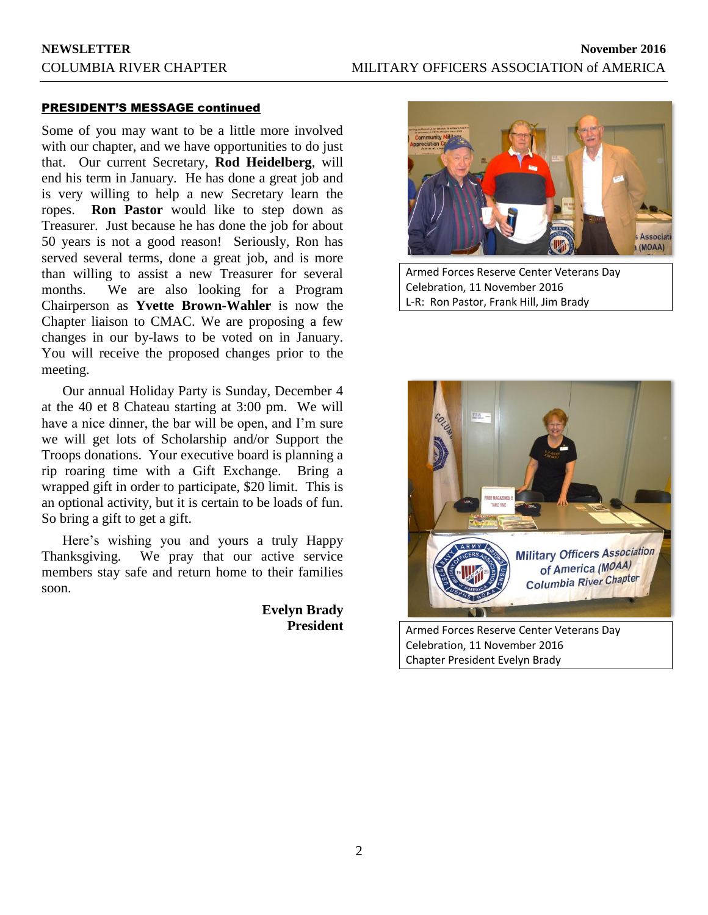### PRESIDENT'S MESSAGE continued

Some of you may want to be a little more involved with our chapter, and we have opportunities to do just that. Our current Secretary, **Rod Heidelberg**, will end his term in January. He has done a great job and is very willing to help a new Secretary learn the ropes. **Ron Pastor** would like to step down as Treasurer. Just because he has done the job for about 50 years is not a good reason! Seriously, Ron has served several terms, done a great job, and is more than willing to assist a new Treasurer for several months. We are also looking for a Program Chairperson as **Yvette Brown-Wahler** is now the Chapter liaison to CMAC. We are proposing a few changes in our by-laws to be voted on in January. You will receive the proposed changes prior to the meeting.

Our annual Holiday Party is Sunday, December 4 at the 40 et 8 Chateau starting at 3:00 pm. We will have a nice dinner, the bar will be open, and I'm sure we will get lots of Scholarship and/or Support the Troops donations. Your executive board is planning a rip roaring time with a Gift Exchange. Bring a wrapped gift in order to participate, \$20 limit. This is an optional activity, but it is certain to be loads of fun. So bring a gift to get a gift.

Here's wishing you and yours a truly Happy Thanksgiving. We pray that our active service members stay safe and return home to their families soon.

> **Evelyn Brady President**



Armed Forces Reserve Center Veterans Day Celebration, 11 November 2016 L-R: Ron Pastor, Frank Hill, Jim Brady



Celebration, 11 November 2016 Chapter President Evelyn Brady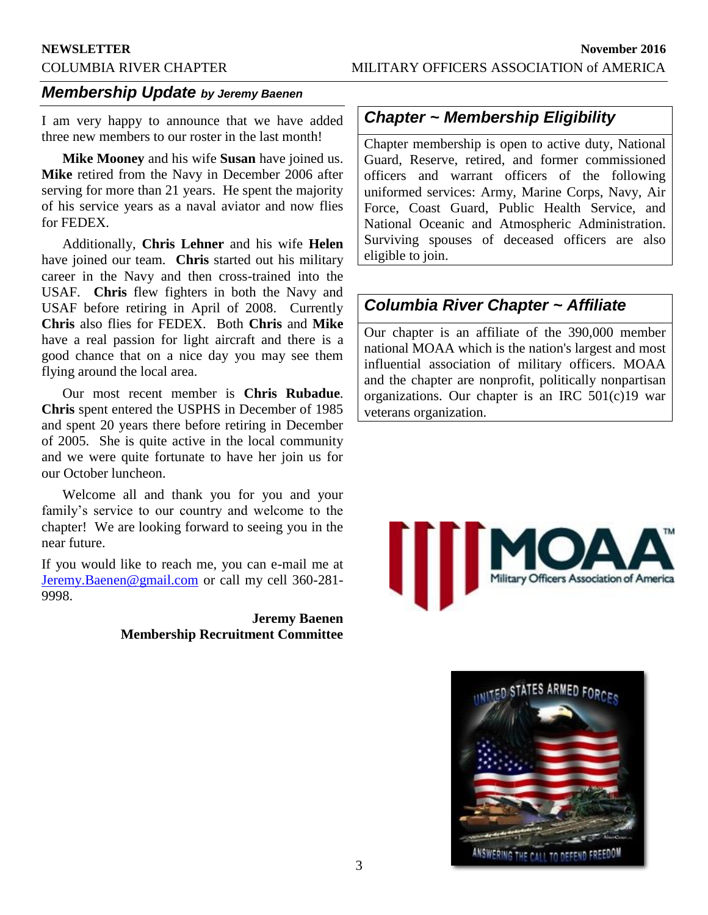## *Membership Update by Jeremy Baenen*

I am very happy to announce that we have added three new members to our roster in the last month!

**Mike Mooney** and his wife **Susan** have joined us. **Mike** retired from the Navy in December 2006 after serving for more than 21 years. He spent the majority of his service years as a naval aviator and now flies for FEDEX.

Additionally, **Chris Lehner** and his wife **Helen** have joined our team. **Chris** started out his military career in the Navy and then cross-trained into the USAF. **Chris** flew fighters in both the Navy and USAF before retiring in April of 2008. Currently **Chris** also flies for FEDEX. Both **Chris** and **Mike** have a real passion for light aircraft and there is a good chance that on a nice day you may see them flying around the local area.

Our most recent member is **Chris Rubadue**. **Chris** spent entered the USPHS in December of 1985 and spent 20 years there before retiring in December of 2005. She is quite active in the local community and we were quite fortunate to have her join us for our October luncheon.

Welcome all and thank you for you and your family's service to our country and welcome to the chapter! We are looking forward to seeing you in the near future.

If you would like to reach me, you can e-mail me at [Jeremy.Baenen@gmail.com](mailto:Jeremy.Baenen@gmail.com) or call my cell 360-281- 9998.

### **Jeremy Baenen Membership Recruitment Committee**

## *Chapter ~ Membership Eligibility*

Chapter membership is open to active duty, National Guard, Reserve, retired, and former commissioned officers and warrant officers of the following uniformed services: Army, Marine Corps, Navy, Air Force, Coast Guard, Public Health Service, and National Oceanic and Atmospheric Administration. Surviving spouses of deceased officers are also eligible to join.

## *Columbia River Chapter ~ Affiliate*

Our chapter is an affiliate of the 390,000 member national MOAA which is the nation's largest and most influential association of military officers. MOAA and the chapter are nonprofit, politically nonpartisan organizations. Our chapter is an IRC 501(c)19 war veterans organization.



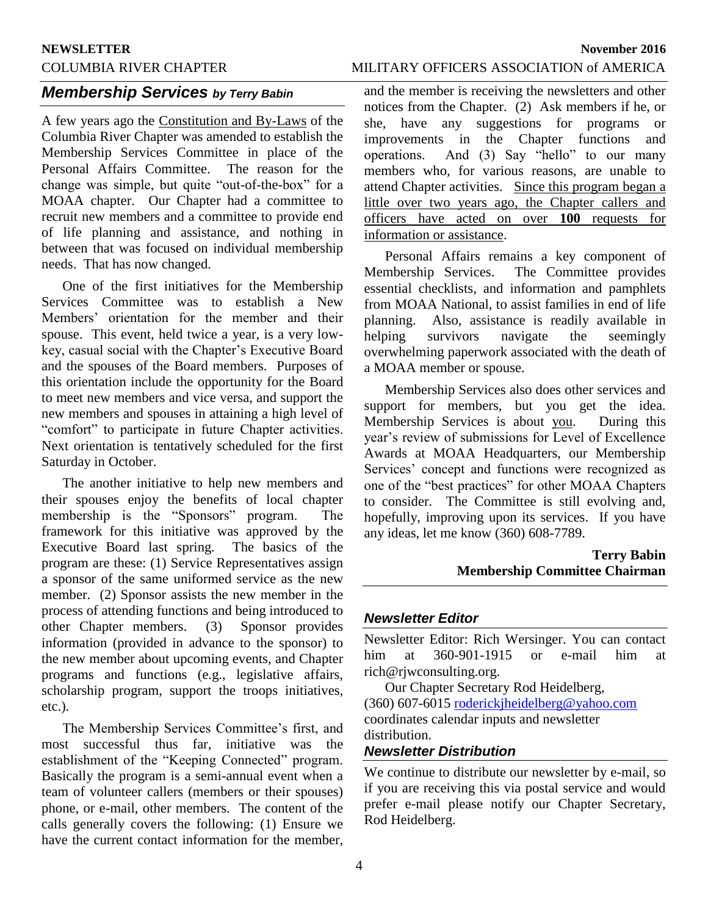## *Membership Services by Terry Babin*

A few years ago the Constitution and By-Laws of the Columbia River Chapter was amended to establish the Membership Services Committee in place of the Personal Affairs Committee. The reason for the change was simple, but quite "out-of-the-box" for a MOAA chapter. Our Chapter had a committee to recruit new members and a committee to provide end of life planning and assistance, and nothing in between that was focused on individual membership needs. That has now changed.

One of the first initiatives for the Membership Services Committee was to establish a New Members' orientation for the member and their spouse. This event, held twice a year, is a very lowkey, casual social with the Chapter's Executive Board and the spouses of the Board members. Purposes of this orientation include the opportunity for the Board to meet new members and vice versa, and support the new members and spouses in attaining a high level of "comfort" to participate in future Chapter activities. Next orientation is tentatively scheduled for the first Saturday in October.

The another initiative to help new members and their spouses enjoy the benefits of local chapter membership is the "Sponsors" program. The framework for this initiative was approved by the Executive Board last spring. The basics of the program are these: (1) Service Representatives assign a sponsor of the same uniformed service as the new member. (2) Sponsor assists the new member in the process of attending functions and being introduced to other Chapter members. (3) Sponsor provides information (provided in advance to the sponsor) to the new member about upcoming events, and Chapter programs and functions (e.g., legislative affairs, scholarship program, support the troops initiatives, etc.).

The Membership Services Committee's first, and most successful thus far, initiative was the establishment of the "Keeping Connected" program. Basically the program is a semi-annual event when a team of volunteer callers (members or their spouses) phone, or e-mail, other members. The content of the calls generally covers the following: (1) Ensure we have the current contact information for the member,

## COLUMBIA RIVER CHAPTER MILITARY OFFICERS ASSOCIATION of AMERICA

and the member is receiving the newsletters and other notices from the Chapter. (2) Ask members if he, or she, have any suggestions for programs or improvements in the Chapter functions and operations. And (3) Say "hello" to our many members who, for various reasons, are unable to attend Chapter activities. Since this program began a little over two years ago, the Chapter callers and officers have acted on over **100** requests for information or assistance.

Personal Affairs remains a key component of Membership Services. The Committee provides essential checklists, and information and pamphlets from MOAA National, to assist families in end of life planning. Also, assistance is readily available in helping survivors navigate the seemingly overwhelming paperwork associated with the death of a MOAA member or spouse.

Membership Services also does other services and support for members, but you get the idea. Membership Services is about you. During this year's review of submissions for Level of Excellence Awards at MOAA Headquarters, our Membership Services' concept and functions were recognized as one of the "best practices" for other MOAA Chapters to consider. The Committee is still evolving and, hopefully, improving upon its services. If you have any ideas, let me know (360) 608-7789.

## **Terry Babin Membership Committee Chairman**

### *Newsletter Editor*

Newsletter Editor: Rich Wersinger. You can contact him at 360-901-1915 or e-mail him at rich@rjwconsulting.org.

Our Chapter Secretary Rod Heidelberg, (360) 607-6015 [roderickjheidelberg@yahoo.com](mailto:roderickjheidelberg@yahoo.com) coordinates calendar inputs and newsletter distribution.

## *Newsletter Distribution*

We continue to distribute our newsletter by e-mail, so if you are receiving this via postal service and would prefer e-mail please notify our Chapter Secretary, Rod Heidelberg.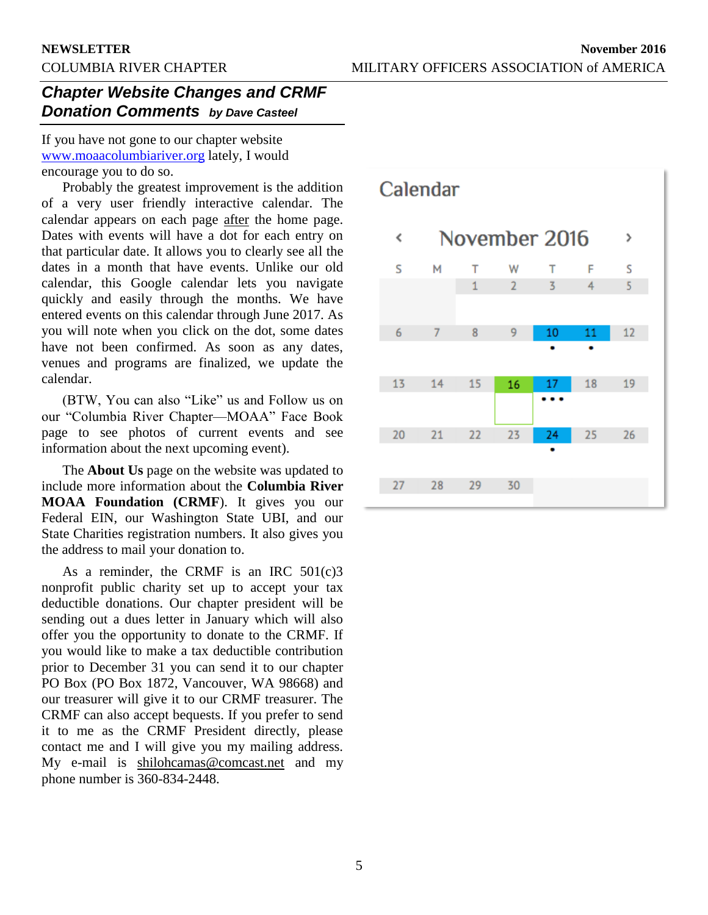## *Chapter Website Changes and CRMF Donation Comments by Dave Casteel*

If you have not gone to our chapter website [www.moaacolumbiariver.org](http://www.moaacolumbiariver.org/) lately, I would encourage you to do so.

Probably the greatest improvement is the addition of a very user friendly interactive calendar. The calendar appears on each page after the home page. Dates with events will have a dot for each entry on that particular date. It allows you to clearly see all the dates in a month that have events. Unlike our old calendar, this Google calendar lets you navigate quickly and easily through the months. We have entered events on this calendar through June 2017. As you will note when you click on the dot, some dates have not been confirmed. As soon as any dates, venues and programs are finalized, we update the calendar.

(BTW, You can also "Like" us and Follow us on our "Columbia River Chapter—MOAA" Face Book page to see photos of current events and see information about the next upcoming event).

The **About Us** page on the website was updated to include more information about the **Columbia River MOAA Foundation (CRMF**). It gives you our Federal EIN, our Washington State UBI, and our State Charities registration numbers. It also gives you the address to mail your donation to.

As a reminder, the CRMF is an IRC  $501(c)3$ nonprofit public charity set up to accept your tax deductible donations. Our chapter president will be sending out a dues letter in January which will also offer you the opportunity to donate to the CRMF. If you would like to make a tax deductible contribution prior to December 31 you can send it to our chapter PO Box (PO Box 1872, Vancouver, WA 98668) and our treasurer will give it to our CRMF treasurer. The CRMF can also accept bequests. If you prefer to send it to me as the CRMF President directly, please contact me and I will give you my mailing address. My e-mail is shilohcamas@comcast.net and my phone number is 360-834-2448.

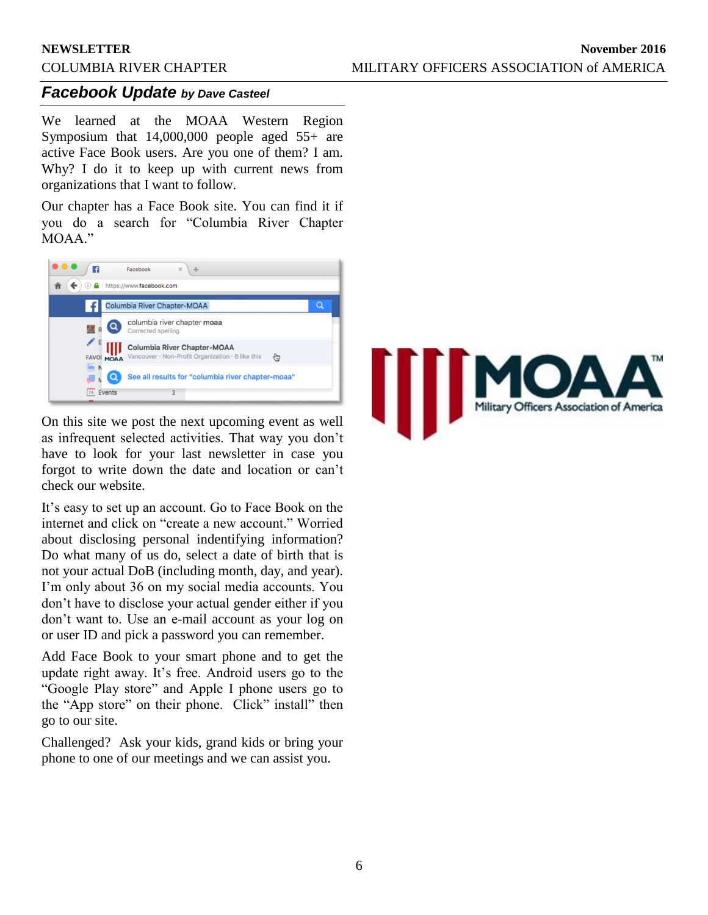### *Facebook Update by Dave Casteel*

We learned at the MOAA Western Region Symposium that 14,000,000 people aged 55+ are active Face Book users. Are you one of them? I am. Why? I do it to keep up with current news from organizations that I want to follow.

Our chapter has a Face Book site. You can find it if you do a search for "Columbia River Chapter MOAA."



On this site we post the next upcoming event as well as infrequent selected activities. That way you don't have to look for your last newsletter in case you forgot to write down the date and location or can't check our website.

It's easy to set up an account. Go to Face Book on the internet and click on "create a new account." Worried about disclosing personal indentifying information? Do what many of us do, select a date of birth that is not your actual DoB (including month, day, and year). I'm only about 36 on my social media accounts. You don't have to disclose your actual gender either if you don't want to. Use an e-mail account as your log on or user ID and pick a password you can remember.

Add Face Book to your smart phone and to get the update right away. It's free. Android users go to the "Google Play store" and Apple I phone users go to the "App store" on their phone. Click" install" then go to our site.

Challenged? Ask your kids, grand kids or bring your phone to one of our meetings and we can assist you.

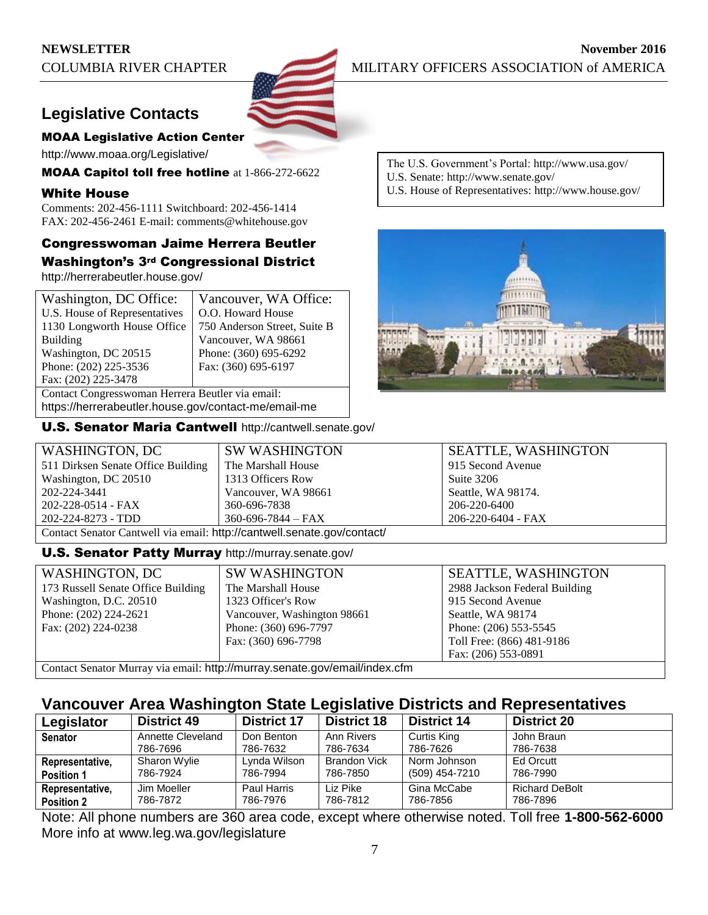## **Legislative Contacts**

### MOAA Legislative Action Center

http://www.moaa.org/Legislative/

MOAA Capitol toll free hotline at 1-866-272-6622

### White House

Comments: 202-456-1111 Switchboard: 202-456-1414 FAX: 202-456-2461 E-mail: comments@whitehouse.gov

## Congresswoman Jaime Herrera Beutler Washington's 3rd Congressional District

http://herrerabeutler.house.gov/

| Washington, DC Office:                           | Vancouver, WA Office:                    |  |  |
|--------------------------------------------------|------------------------------------------|--|--|
| U.S. House of Representatives                    | O.O. Howard House                        |  |  |
| 1130 Longworth House Office                      | 750 Anderson Street, Suite B             |  |  |
| <b>Building</b>                                  | Vancouver, WA 98661                      |  |  |
| Washington, DC 20515                             | Phone: (360) 695-6292                    |  |  |
| Phone: (202) 225-3536                            | Fax: (360) 695-6197                      |  |  |
| Fax: (202) 225-3478                              |                                          |  |  |
| Contact Congresswoman Herrera Beutler via email: |                                          |  |  |
|                                                  | $\mathbf{1}$ , and a set of $\mathbf{1}$ |  |  |

https://herrerabeutler.house.gov/contact-me/email-me

U.S. Senator Maria Cantwell http://cantwell.senate.gov/

The U.S. Government's Portal: http://www.usa.gov/

- U.S. Senate: http://www.senate.gov/
- U.S. House of Representatives: http://www.house.gov/



| WASHINGTON, DC                                                          | <b>SW WASHINGTON</b>     | <b>SEATTLE, WASHINGTON</b> |  |
|-------------------------------------------------------------------------|--------------------------|----------------------------|--|
| 511 Dirksen Senate Office Building                                      | The Marshall House       | 915 Second Avenue          |  |
| Washington, DC 20510                                                    | 1313 Officers Row        | Suite 3206                 |  |
| 202-224-3441                                                            | Vancouver, WA 98661      | Seattle, WA 98174.         |  |
| 202-228-0514 - FAX                                                      | 360-696-7838             | 206-220-6400               |  |
| 202-224-8273 - TDD                                                      | $360 - 696 - 7844 - FAX$ | 206-220-6404 - FAX         |  |
| Contact Senator Cantwell via email: http://cantwell.senate.gov/contact/ |                          |                            |  |

### **U.S. Senator Patty Murray** http://murray.senate.gov/

| WASHINGTON, DC                                                             | <b>SW WASHINGTON</b>        | <b>SEATTLE, WASHINGTON</b>    |  |  |
|----------------------------------------------------------------------------|-----------------------------|-------------------------------|--|--|
| 173 Russell Senate Office Building                                         | The Marshall House          | 2988 Jackson Federal Building |  |  |
| Washington, D.C. 20510                                                     | 1323 Officer's Row          | 915 Second Avenue             |  |  |
| Phone: $(202)$ 224-2621                                                    | Vancouver, Washington 98661 | Seattle, WA 98174             |  |  |
| Fax: (202) 224-0238                                                        | Phone: (360) 696-7797       | Phone: (206) 553-5545         |  |  |
|                                                                            | Fax: (360) 696-7798         | Toll Free: (866) 481-9186     |  |  |
|                                                                            |                             | Fax: (206) 553-0891           |  |  |
| Contact Senator Murray via email: http://murray.senate.gov/email/index.cfm |                             |                               |  |  |

## **Vancouver Area Washington State Legislative Districts and Representatives**

| Legislator        | <b>District 49</b> | <b>District 17</b> | <b>District 18</b>  | <b>District 14</b> | <b>District 20</b>    |
|-------------------|--------------------|--------------------|---------------------|--------------------|-----------------------|
| <b>Senator</b>    | Annette Cleveland  | Don Benton         | Ann Rivers          | Curtis King        | John Braun            |
|                   | 786-7696           | 786-7632           | 786-7634            | 786-7626           | 786-7638              |
| Representative,   | Sharon Wylie       | Lynda Wilson       | <b>Brandon Vick</b> | Norm Johnson       | Ed Orcutt             |
| <b>Position 1</b> | 786-7924           | 786-7994           | 786-7850            | (509) 454-7210     | 786-7990              |
| Representative,   | Jim Moeller        | Paul Harris        | Liz Pike            | Gina McCabe        | <b>Richard DeBolt</b> |
| <b>Position 2</b> | 786-7872           | 786-7976           | 786-7812            | 786-7856           | 786-7896              |

Note: All phone numbers are 360 area code, except where otherwise noted. Toll free **1-800-562-6000** More info at www.leg.wa.gov/legislature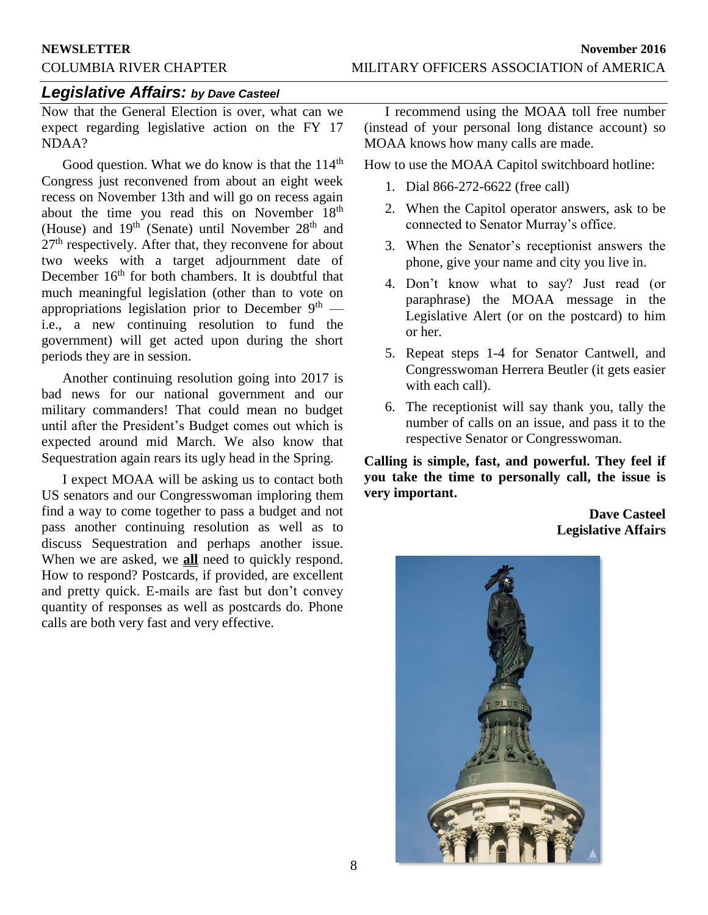## *Legislative Affairs: by Dave Casteel*

Now that the General Election is over, what can we expect regarding legislative action on the FY 17 NDAA?

Good question. What we do know is that the 114<sup>th</sup> Congress just reconvened from about an eight week recess on November 13th and will go on recess again about the time you read this on November 18<sup>th</sup> (House) and  $19<sup>th</sup>$  (Senate) until November  $28<sup>th</sup>$  and 27<sup>th</sup> respectively. After that, they reconvene for about two weeks with a target adjournment date of December  $16<sup>th</sup>$  for both chambers. It is doubtful that much meaningful legislation (other than to vote on appropriations legislation prior to December  $9<sup>th</sup>$  i.e., a new continuing resolution to fund the government) will get acted upon during the short periods they are in session.

Another continuing resolution going into 2017 is bad news for our national government and our military commanders! That could mean no budget until after the President's Budget comes out which is expected around mid March. We also know that Sequestration again rears its ugly head in the Spring.

I expect MOAA will be asking us to contact both US senators and our Congresswoman imploring them find a way to come together to pass a budget and not pass another continuing resolution as well as to discuss Sequestration and perhaps another issue. When we are asked, we **all** need to quickly respond. How to respond? Postcards, if provided, are excellent and pretty quick. E-mails are fast but don't convey quantity of responses as well as postcards do. Phone calls are both very fast and very effective.

I recommend using the MOAA toll free number (instead of your personal long distance account) so MOAA knows how many calls are made.

How to use the MOAA Capitol switchboard hotline:

- 1. Dial 866-272-6622 (free call)
- 2. When the Capitol operator answers, ask to be connected to Senator Murray's office.
- 3. When the Senator's receptionist answers the phone, give your name and city you live in.
- 4. Don't know what to say? Just read (or paraphrase) the MOAA message in the Legislative Alert (or on the postcard) to him or her.
- 5. Repeat steps 1-4 for Senator Cantwell, and Congresswoman Herrera Beutler (it gets easier with each call).
- 6. The receptionist will say thank you, tally the number of calls on an issue, and pass it to the respective Senator or Congresswoman.

**Calling is simple, fast, and powerful. They feel if you take the time to personally call, the issue is very important.**

> **Dave Casteel Legislative Affairs**

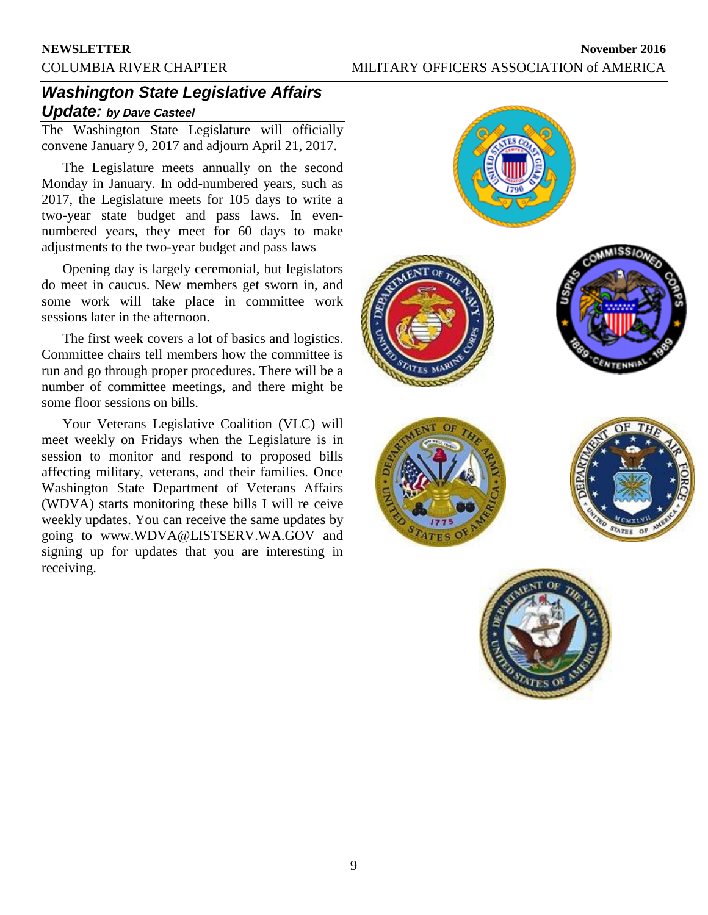## *Washington State Legislative Affairs Update: by Dave Casteel*

The Washington State Legislature will officially convene January 9, 2017 and adjourn April 21, 2017.

The Legislature meets annually on the second Monday in January. In odd-numbered years, such as 2017, the Legislature meets for 105 days to write a two-year state budget and pass laws. In evennumbered years, they meet for 60 days to make adjustments to the two-year budget and pass laws

Opening day is largely ceremonial, but legislators do meet in caucus. New members get sworn in, and some work will take place in committee work sessions later in the afternoon.

The first week covers a lot of basics and logistics. Committee chairs tell members how the committee is run and go through proper procedures. There will be a number of committee meetings, and there might be some floor sessions on bills.

Your Veterans Legislative Coalition (VLC) will meet weekly on Fridays when the Legislature is in session to monitor and respond to proposed bills affecting military, veterans, and their families. Once Washington State Department of Veterans Affairs (WDVA) starts monitoring these bills I will re ceive weekly updates. You can receive the same updates by going to www.WDVA@LISTSERV.WA.GOV and signing up for updates that you are interesting in receiving.